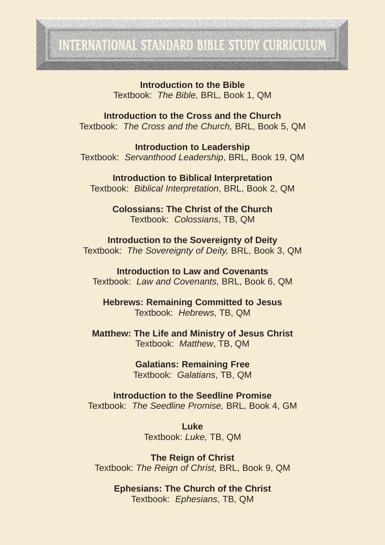# INTERNATIONAL STANDARD BIBLE STUDY CURRICULUM

**Introduction to the Bible** Textbook: *The Bible,* BRL, Book 1, QM

**Introduction to the Cross and the Church** Textbook: *The Cross and the Church,* BRL, Book 5, QM

**Introduction to Leadership** Textbook: *Servanthood Leadership*, BRL, Book 19, QM

**Introduction to Biblical Interpretation** Textbook: *Biblical Interpretation*, BRL, Book 2, QM

> **Colossians: The Christ of the Church** Textbook: *Colossians*, TB, QM

**Introduction to the Sovereignty of Deity** Textbook: *The Sovereignty of Deity,* BRL, Book 3, QM

**Introduction to Law and Covenants** Textbook: *Law and Covenants,* BRL, Book 6, QM

**Hebrews: Remaining Committed to Jesus** Textbook: *Hebrews*, TB, QM

**Matthew: The Life and Ministry of Jesus Christ** Textbook: *Matthew*, TB, QM

> **Galatians: Remaining Free** Textbook: *Galatians*, TB, QM

**Introduction to the Seedline Promise** Textbook: *The Seedline Promise,* BRL, Book 4, GM

> **Luke** Textbook: *Luke,* TB, QM

**The Reign of Christ** Textbook: *The Reign of Christ,* BRL, Book 9, QM

**Ephesians: The Church of the Christ** Textbook: *Ephesians*, TB, QM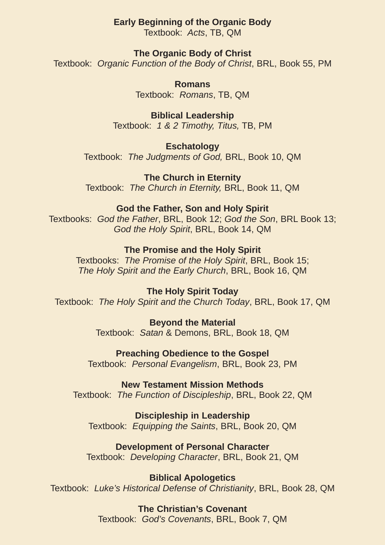# **Early Beginning of the Organic Body**

Textbook: *Acts*, TB, QM

# **The Organic Body of Christ**

Textbook: *Organic Function of the Body of Christ*, BRL, Book 55, PM

**Romans** Textbook: *Romans*, TB, QM

**Biblical Leadership** Textbook: *1 & 2 Timothy, Titus,* TB, PM

**Eschatology** Textbook: *The Judgments of God,* BRL, Book 10, QM

**The Church in Eternity** Textbook: *The Church in Eternity,* BRL, Book 11, QM

# **God the Father, Son and Holy Spirit**

Textbooks: *God the Father*, BRL, Book 12; *God the Son*, BRL Book 13; *God the Holy Spirit*, BRL, Book 14, QM

#### **The Promise and the Holy Spirit**

Textbooks: *The Promise of the Holy Spirit*, BRL, Book 15; *The Holy Spirit and the Early Church*, BRL, Book 16, QM

#### **The Holy Spirit Today**

Textbook: *The Holy Spirit and the Church Today*, BRL, Book 17, QM

**Beyond the Material** Textbook: *Satan* & Demons, BRL, Book 18, QM

**Preaching Obedience to the Gospel** Textbook: *Personal Evangelism*, BRL, Book 23, PM

# **New Testament Mission Methods**

Textbook: *The Function of Discipleship*, BRL, Book 22, QM

# **Discipleship in Leadership**

Textbook: *Equipping the Saints*, BRL, Book 20, QM

# **Development of Personal Character**

Textbook: *Developing Character*, BRL, Book 21, QM

**Biblical Apologetics**

Textbook: *Luke's Historical Defense of Christianity*, BRL, Book 28, QM

# **The Christian's Covenant**

Textbook: *God's Covenants*, BRL, Book 7, QM